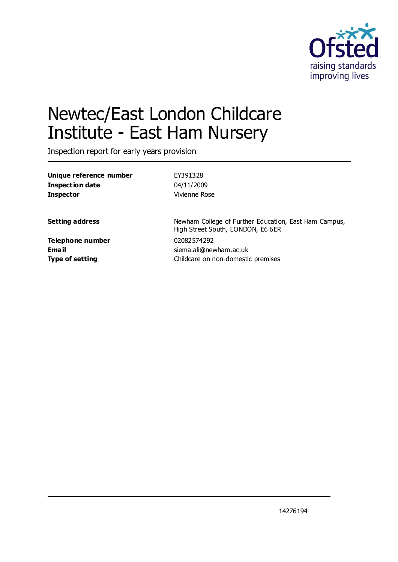

# Newtec/East London Childcare Institute - East Ham Nursery

Inspection report for early years provision

| Unique reference number | EY391328                                                                                   |
|-------------------------|--------------------------------------------------------------------------------------------|
| <b>Inspection date</b>  | 04/11/2009                                                                                 |
| <b>Inspector</b>        | Vivienne Rose                                                                              |
| <b>Setting address</b>  | Newham College of Further Education, East Ham Campus,<br>High Street South, LONDON, E6 6ER |
| Telephone number        | 02082574292                                                                                |
| <b>Email</b>            | siema.ali@newham.ac.uk                                                                     |
| <b>Type of setting</b>  | Childcare on non-domestic premises                                                         |
|                         |                                                                                            |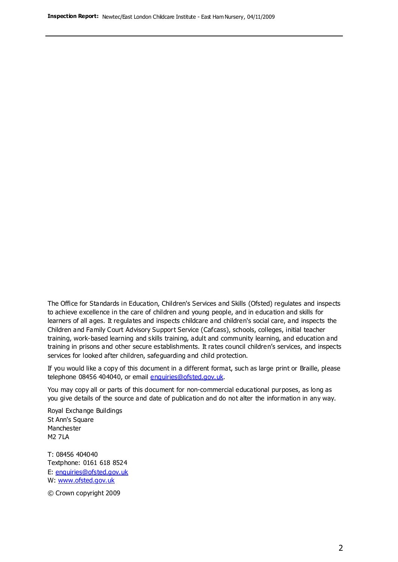The Office for Standards in Education, Children's Services and Skills (Ofsted) regulates and inspects to achieve excellence in the care of children and young people, and in education and skills for learners of all ages. It regulates and inspects childcare and children's social care, and inspects the Children and Family Court Advisory Support Service (Cafcass), schools, colleges, initial teacher training, work-based learning and skills training, adult and community learning, and education and training in prisons and other secure establishments. It rates council children's services, and inspects services for looked after children, safeguarding and child protection.

If you would like a copy of this document in a different format, such as large print or Braille, please telephone 08456 404040, or email enquiries@ofsted.gov.uk.

You may copy all or parts of this document for non-commercial educational purposes, as long as you give details of the source and date of publication and do not alter the information in any way.

Royal Exchange Buildings St Ann's Square Manchester M2 7LA

T: 08456 404040 Textphone: 0161 618 8524 E: enquiries@ofsted.gov.uk W: [www.ofsted.gov.uk](http://www.ofsted.gov.uk/)

© Crown copyright 2009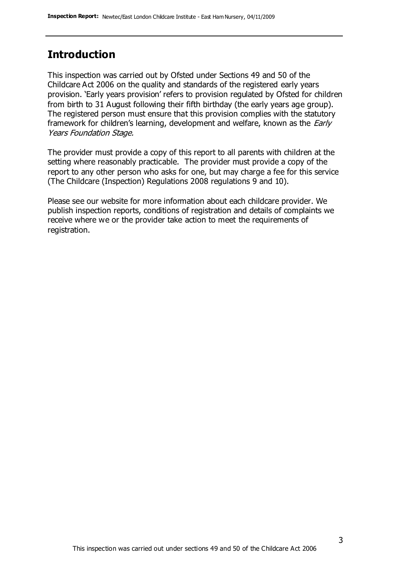#### **Introduction**

This inspection was carried out by Ofsted under Sections 49 and 50 of the Childcare Act 2006 on the quality and standards of the registered early years provision. 'Early years provision' refers to provision regulated by Ofsted for children from birth to 31 August following their fifth birthday (the early years age group). The registered person must ensure that this provision complies with the statutory framework for children's learning, development and welfare, known as the *Early* Years Foundation Stage.

The provider must provide a copy of this report to all parents with children at the setting where reasonably practicable. The provider must provide a copy of the report to any other person who asks for one, but may charge a fee for this service (The Childcare (Inspection) Regulations 2008 regulations 9 and 10).

Please see our website for more information about each childcare provider. We publish inspection reports, conditions of registration and details of complaints we receive where we or the provider take action to meet the requirements of registration.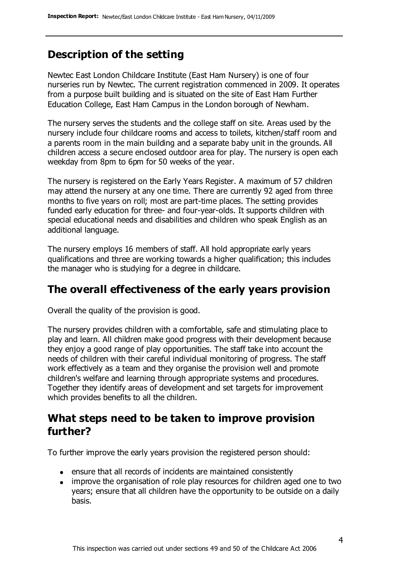# **Description of the setting**

Newtec East London Childcare Institute (East Ham Nursery) is one of four nurseries run by Newtec. The current registration commenced in 2009. It operates from a purpose built building and is situated on the site of East Ham Further Education College, East Ham Campus in the London borough of Newham.

The nursery serves the students and the college staff on site. Areas used by the nursery include four childcare rooms and access to toilets, kitchen/staff room and a parents room in the main building and a separate baby unit in the grounds. All children access a secure enclosed outdoor area for play. The nursery is open each weekday from 8pm to 6pm for 50 weeks of the year.

The nursery is registered on the Early Years Register. A maximum of 57 children may attend the nursery at any one time. There are currently 92 aged from three months to five years on roll; most are part-time places. The setting provides funded early education for three- and four-year-olds. It supports children with special educational needs and disabilities and children who speak English as an additional language.

The nursery employs 16 members of staff. All hold appropriate early years qualifications and three are working towards a higher qualification; this includes the manager who is studying for a degree in childcare.

### **The overall effectiveness of the early years provision**

Overall the quality of the provision is good.

The nursery provides children with a comfortable, safe and stimulating place to play and learn. All children make good progress with their development because they enjoy a good range of play opportunities. The staff take into account the needs of children with their careful individual monitoring of progress. The staff work effectively as a team and they organise the provision well and promote children's welfare and learning through appropriate systems and procedures. Together they identify areas of development and set targets for improvement which provides benefits to all the children.

#### **What steps need to be taken to improve provision further?**

To further improve the early years provision the registered person should:

- ensure that all records of incidents are maintained consistently
- improve the organisation of role play resources for children aged one to two years; ensure that all children have the opportunity to be outside on a daily basis.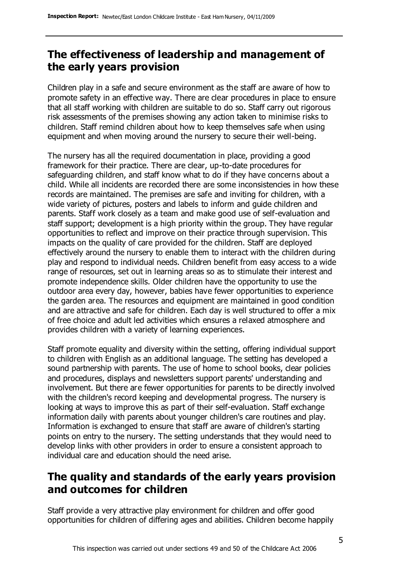# **The effectiveness of leadership and management of the early years provision**

Children play in a safe and secure environment as the staff are aware of how to promote safety in an effective way. There are clear procedures in place to ensure that all staff working with children are suitable to do so. Staff carry out rigorous risk assessments of the premises showing any action taken to minimise risks to children. Staff remind children about how to keep themselves safe when using equipment and when moving around the nursery to secure their well-being.

The nursery has all the required documentation in place, providing a good framework for their practice. There are clear, up-to-date procedures for safeguarding children, and staff know what to do if they have concerns about a child. While all incidents are recorded there are some inconsistencies in how these records are maintained. The premises are safe and inviting for children, with a wide variety of pictures, posters and labels to inform and guide children and parents. Staff work closely as a team and make good use of self-evaluation and staff support; development is a high priority within the group. They have regular opportunities to reflect and improve on their practice through supervision. This impacts on the quality of care provided for the children. Staff are deployed effectively around the nursery to enable them to interact with the children during play and respond to individual needs. Children benefit from easy access to a wide range of resources, set out in learning areas so as to stimulate their interest and promote independence skills. Older children have the opportunity to use the outdoor area every day, however, babies have fewer opportunities to experience the garden area. The resources and equipment are maintained in good condition and are attractive and safe for children. Each day is well structured to offer a mix of free choice and adult led activities which ensures a relaxed atmosphere and provides children with a variety of learning experiences.

Staff promote equality and diversity within the setting, offering individual support to children with English as an additional language. The setting has developed a sound partnership with parents. The use of home to school books, clear policies and procedures, displays and newsletters support parents' understanding and involvement. But there are fewer opportunities for parents to be directly involved with the children's record keeping and developmental progress. The nursery is looking at ways to improve this as part of their self-evaluation. Staff exchange information daily with parents about younger children's care routines and play. Information is exchanged to ensure that staff are aware of children's starting points on entry to the nursery. The setting understands that they would need to develop links with other providers in order to ensure a consistent approach to individual care and education should the need arise.

# **The quality and standards of the early years provision and outcomes for children**

Staff provide a very attractive play environment for children and offer good opportunities for children of differing ages and abilities. Children become happily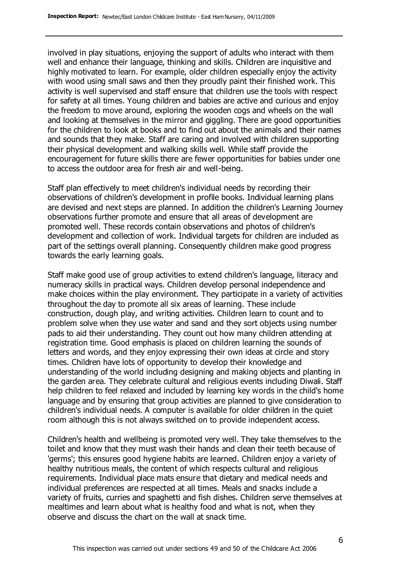involved in play situations, enjoying the support of adults who interact with them well and enhance their language, thinking and skills. Children are inquisitive and highly motivated to learn. For example, older children especially enjoy the activity with wood using small saws and then they proudly paint their finished work. This activity is well supervised and staff ensure that children use the tools with respect for safety at all times. Young children and babies are active and curious and enjoy the freedom to move around, exploring the wooden cogs and wheels on the wall and looking at themselves in the mirror and giggling. There are good opportunities for the children to look at books and to find out about the animals and their names and sounds that they make. Staff are caring and involved with children supporting their physical development and walking skills well. While staff provide the encouragement for future skills there are fewer opportunities for babies under one to access the outdoor area for fresh air and well-being.

Staff plan effectively to meet children's individual needs by recording their observations of children's development in profile books. Individual learning plans are devised and next steps are planned. In addition the children's Learning Journey observations further promote and ensure that all areas of development are promoted well. These records contain observations and photos of children's development and collection of work. Individual targets for children are included as part of the settings overall planning. Consequently children make good progress towards the early learning goals.

Staff make good use of group activities to extend children's language, literacy and numeracy skills in practical ways. Children develop personal independence and make choices within the play environment. They participate in a variety of activities throughout the day to promote all six areas of learning. These include construction, dough play, and writing activities. Children learn to count and to problem solve when they use water and sand and they sort objects using number pads to aid their understanding. They count out how many children attending at registration time. Good emphasis is placed on children learning the sounds of letters and words, and they enjoy expressing their own ideas at circle and story times. Children have lots of opportunity to develop their knowledge and understanding of the world including designing and making objects and planting in the garden area. They celebrate cultural and religious events including Diwali. Staff help children to feel relaxed and included by learning key words in the child's home language and by ensuring that group activities are planned to give consideration to children's individual needs. A computer is available for older children in the quiet room although this is not always switched on to provide independent access.

Children's health and wellbeing is promoted very well. They take themselves to the toilet and know that they must wash their hands and clean their teeth because of 'germs'; this ensures good hygiene habits are learned. Children enjoy a variety of healthy nutritious meals, the content of which respects cultural and religious requirements. Individual place mats ensure that dietary and medical needs and individual preferences are respected at all times. Meals and snacks include a variety of fruits, curries and spaghetti and fish dishes. Children serve themselves at mealtimes and learn about what is healthy food and what is not, when they observe and discuss the chart on the wall at snack time.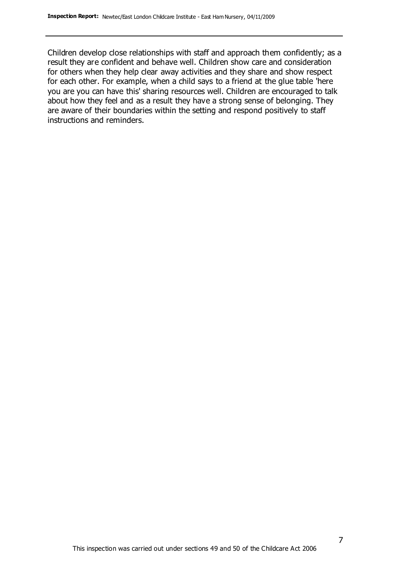Children develop close relationships with staff and approach them confidently; as a result they are confident and behave well. Children show care and consideration for others when they help clear away activities and they share and show respect for each other. For example, when a child says to a friend at the glue table 'here you are you can have this' sharing resources well. Children are encouraged to talk about how they feel and as a result they have a strong sense of belonging. They are aware of their boundaries within the setting and respond positively to staff instructions and reminders.